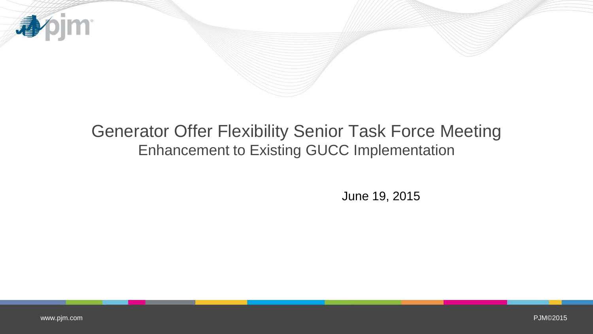

## Generator Offer Flexibility Senior Task Force Meeting Enhancement to Existing GUCC Implementation

June 19, 2015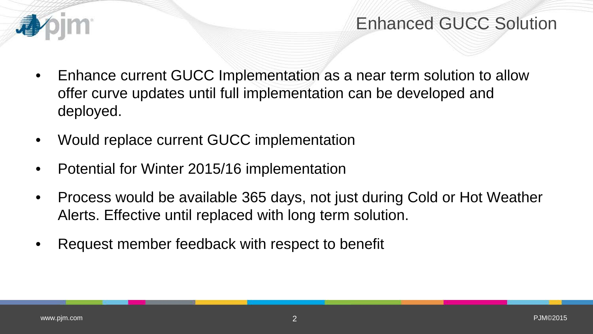

- Enhance current GUCC Implementation as a near term solution to allow offer curve updates until full implementation can be developed and deployed.
- Would replace current GUCC implementation
- Potential for Winter 2015/16 implementation
- Process would be available 365 days, not just during Cold or Hot Weather Alerts. Effective until replaced with long term solution.
- Request member feedback with respect to benefit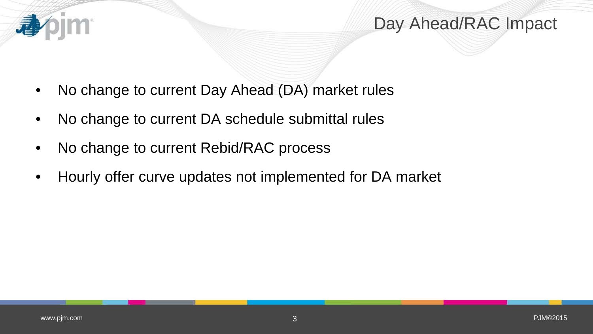

## Day Ahead/RAC Impact

- No change to current Day Ahead (DA) market rules
- No change to current DA schedule submittal rules
- No change to current Rebid/RAC process
- Hourly offer curve updates not implemented for DA market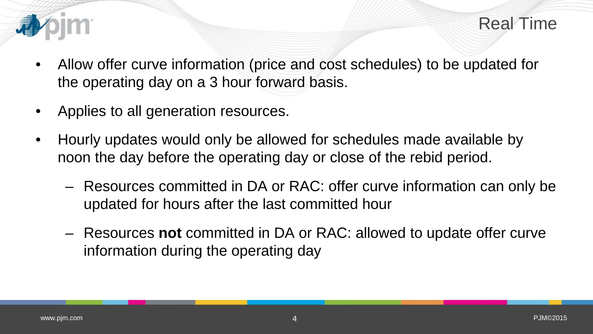

Real Time

- Allow offer curve information (price and cost schedules) to be updated for the operating day on a 3 hour forward basis.
- Applies to all generation resources.
- Hourly updates would only be allowed for schedules made available by noon the day before the operating day or close of the rebid period.
	- Resources committed in DA or RAC: offer curve information can only be updated for hours after the last committed hour
	- Resources **not** committed in DA or RAC: allowed to update offer curve information during the operating day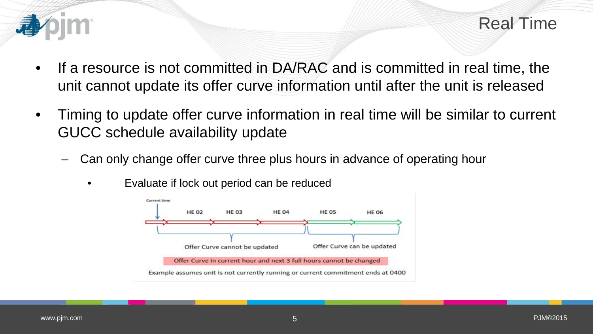

Real Time

- If a resource is not committed in DA/RAC and is committed in real time, the unit cannot update its offer curve information until after the unit is released
- Timing to update offer curve information in real time will be similar to current GUCC schedule availability update
	- Can only change offer curve three plus hours in advance of operating hour



• Evaluate if lock out period can be reduced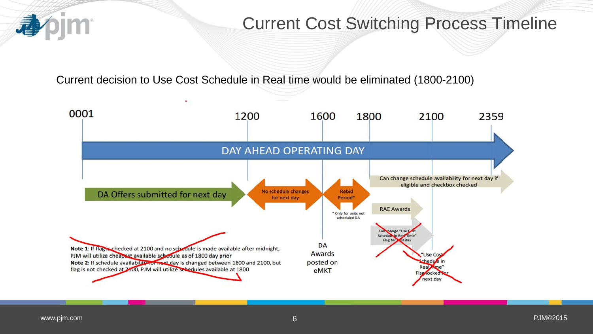

## Current Cost Switching Process Timeline

Current decision to Use Cost Schedule in Real time would be eliminated (1800-2100)

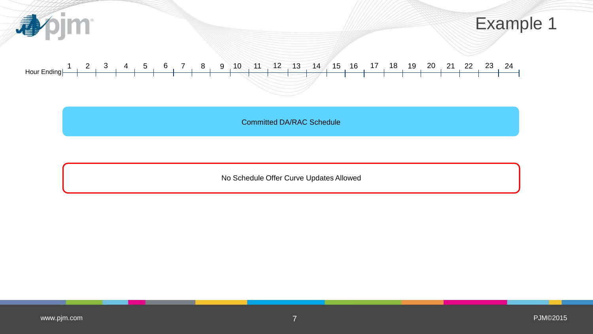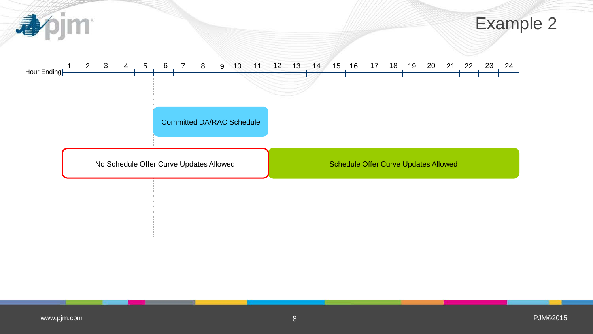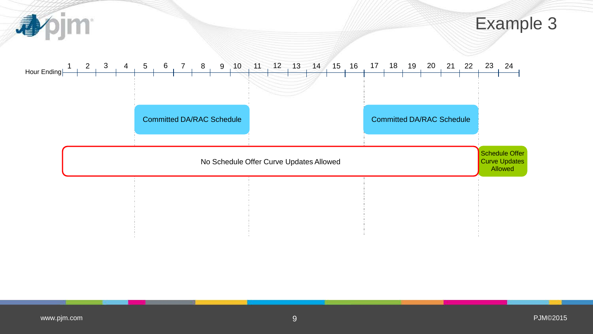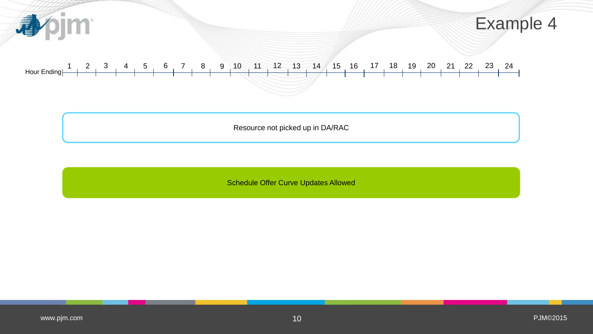

Schedule Offer Curve Updates Allowed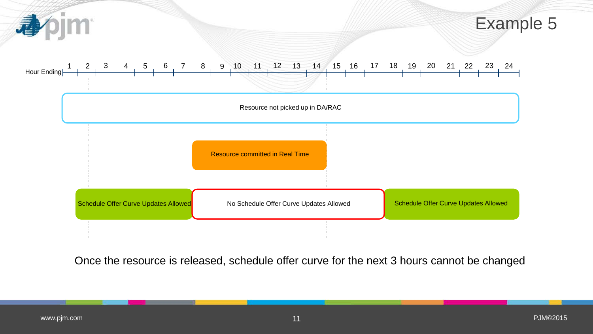

Once the resource is released, schedule offer curve for the next 3 hours cannot be changed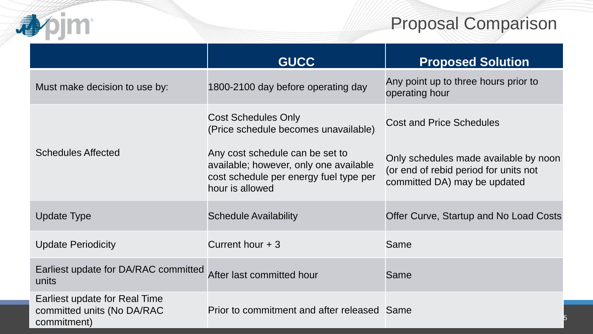

## Proposal Comparison

|                                                                            | <b>GUCC</b>                                                                                                                            | <b>Proposed Solution</b>                                                                                       |
|----------------------------------------------------------------------------|----------------------------------------------------------------------------------------------------------------------------------------|----------------------------------------------------------------------------------------------------------------|
| Must make decision to use by:                                              | 1800-2100 day before operating day                                                                                                     | Any point up to three hours prior to<br>operating hour                                                         |
|                                                                            | <b>Cost Schedules Only</b><br>(Price schedule becomes unavailable)                                                                     | <b>Cost and Price Schedules</b>                                                                                |
| <b>Schedules Affected</b>                                                  | Any cost schedule can be set to<br>available; however, only one available<br>cost schedule per energy fuel type per<br>hour is allowed | Only schedules made available by noon<br>(or end of rebid period for units not<br>committed DA) may be updated |
| Update Type                                                                | <b>Schedule Availability</b>                                                                                                           | Offer Curve, Startup and No Load Costs                                                                         |
| <b>Update Periodicity</b>                                                  | Current hour $+3$                                                                                                                      | Same                                                                                                           |
| Earliest update for DA/RAC committed<br>units                              | After last committed hour                                                                                                              | Same                                                                                                           |
| Earliest update for Real Time<br>committed units (No DA/RAC<br>commitment) | Prior to commitment and after released Same                                                                                            |                                                                                                                |